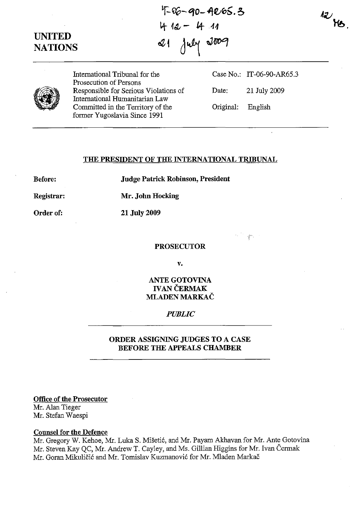UNITED **NATIONS** 

 $4-40-4065.3$ 4 12 - 4 11 21 July 2009



International Tribunal for the Prosecution of Persons Responsible for Serious Violations of International Humanitarian Law Committed in the Territory of the former Yugoslavia Since 1991

Case No.: IT-06-90-AR6S.3 Date: 21 July 2009 Original: English

I'

### THE PRESIDENT OF THE INTERNATIONAL TRIBUNAL

Before:

Judge Patrick Robinson, President

Registrar: Mr. John Hocking

Order of:

21 July 2009

PROSECUTOR

v.

# ANTE GOTOVINA **IVAN ČERMAK** MLADEN MARKAC

### *PUBLIC*

# ORDER ASSIGNING JUDGES TO A CASE BEFORE THE APPEALS CHAMBER

Office of the Prosecutor Mr. Alan Tieger Mr. Stefan Waespi

### Counsel for the Defence

Mr. Gregory W. Kehoe, Mr. Luka S. Mišetić, and Mr. Payam Akhavan for Mr. Ante Gotovina Mr. Steven Kay QC, Mr. Andrew T. Cayley, and Ms. Gillian Higgins for Mr. Ivan Cermak Mr. Goran Mikuličić and Mr. Tomislav Kuzmanović for Mr. Mladen Markač